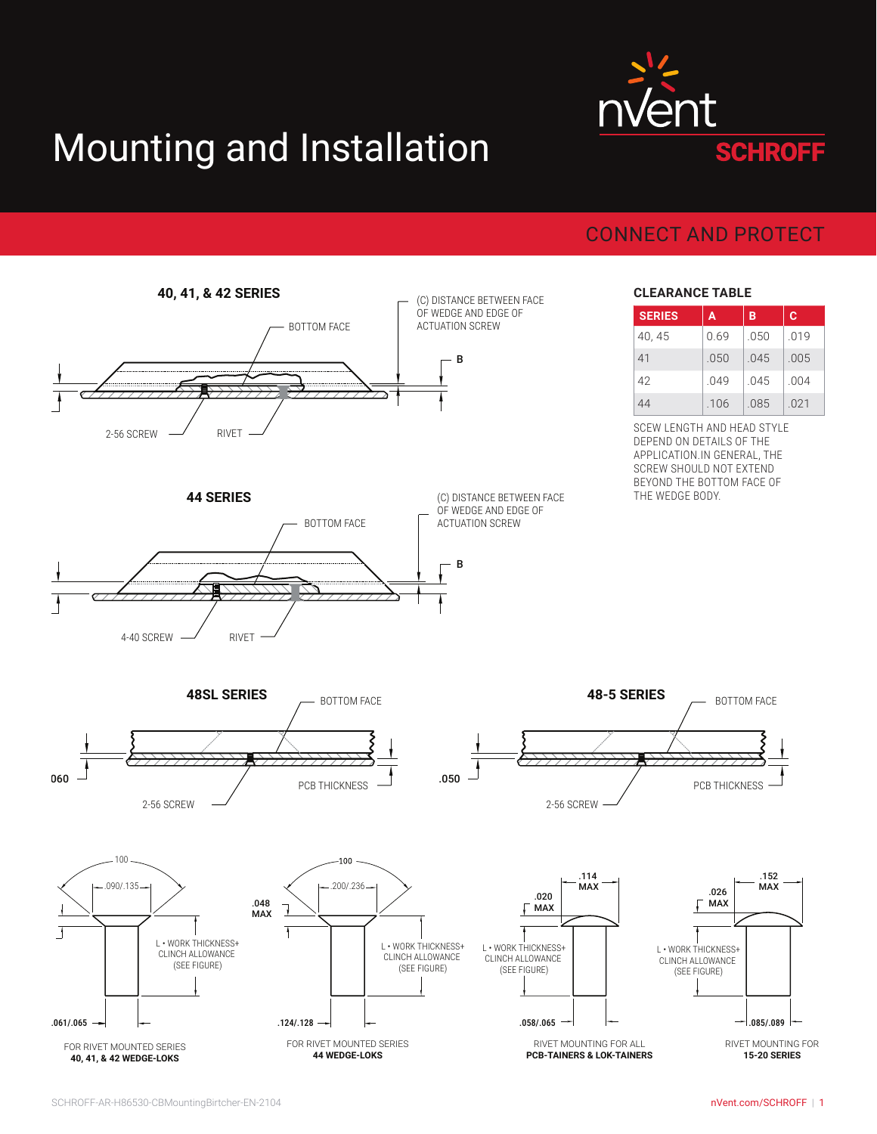## Mounting and Installation



## CONNECT AND PROTECT